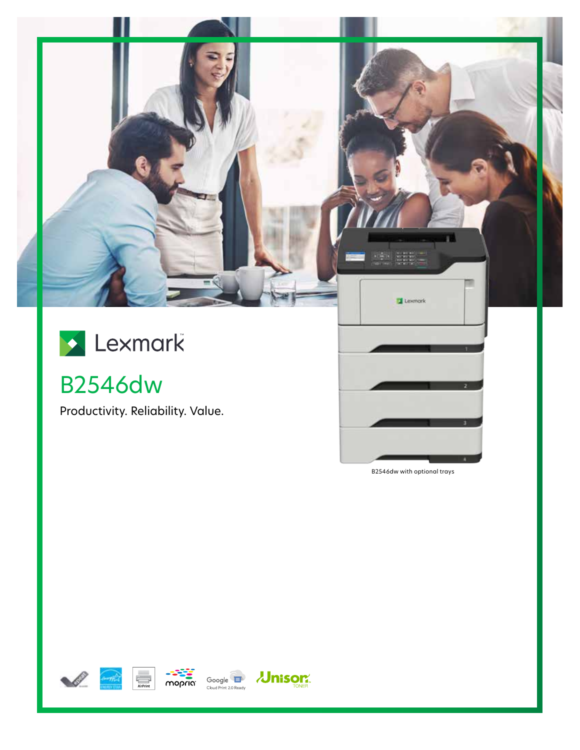



B2546dw

Productivity. Reliability. Value.

B2546dw with optional trays







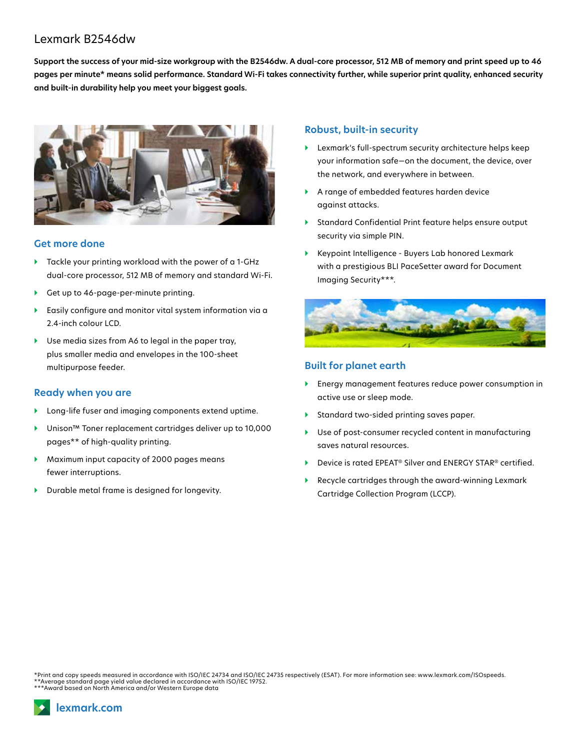# Lexmark B2546dw

**Support the success of your mid-size workgroup with the B2546dw. A dual-core processor, 512 MB of memory and print speed up to 46 pages per minute\* means solid performance. Standard Wi-Fi takes connectivity further, while superior print quality, enhanced security and built-in durability help you meet your biggest goals.**



#### **Get more done**

- Tackle your printing workload with the power of a 1-GHz dual-core processor, 512 MB of memory and standard Wi-Fi.
- Get up to 46-page-per-minute printing.
- } Easily configure and monitor vital system information via a 2.4-inch colour LCD.
- ▶ Use media sizes from A6 to legal in the paper tray, plus smaller media and envelopes in the 100-sheet multipurpose feeder.

### **Ready when you are**

- } Long-life fuser and imaging components extend uptime.
- } Unison™ Toner replacement cartridges deliver up to 10,000 pages\*\* of high-quality printing.
- } Maximum input capacity of 2000 pages means fewer interruptions.
- **•** Durable metal frame is designed for longevity.

### **Robust, built-in security**

- } Lexmark's full-spectrum security architecture helps keep your information safe—on the document, the device, over the network, and everywhere in between.
- } A range of embedded features harden device against attacks.
- } Standard Confidential Print feature helps ensure output security via simple PIN.
- } Keypoint Intelligence Buyers Lab honored Lexmark with a prestigious BLI PaceSetter award for Document Imaging Security\*\*\*.



## **Built for planet earth**

- } Energy management features reduce power consumption in active use or sleep mode.
- } Standard two-sided printing saves paper.
- Use of post-consumer recycled content in manufacturing saves natural resources.
- Device is rated EPEAT<sup>®</sup> Silver and ENERGY STAR® certified.
- } Recycle cartridges through the award-winning Lexmark Cartridge Collection Program (LCCP).

\*Print and copy speeds measured in accordance with ISO/IEC 24734 and ISO/IEC 24735 respectively (ESAT). For more information see: www.lexmark.com/ISOspeeds. \*\*Average standard page yield value declared in accordance with ISO/IEC 19752. \*\*\*Award based on North America and/or Western Europe data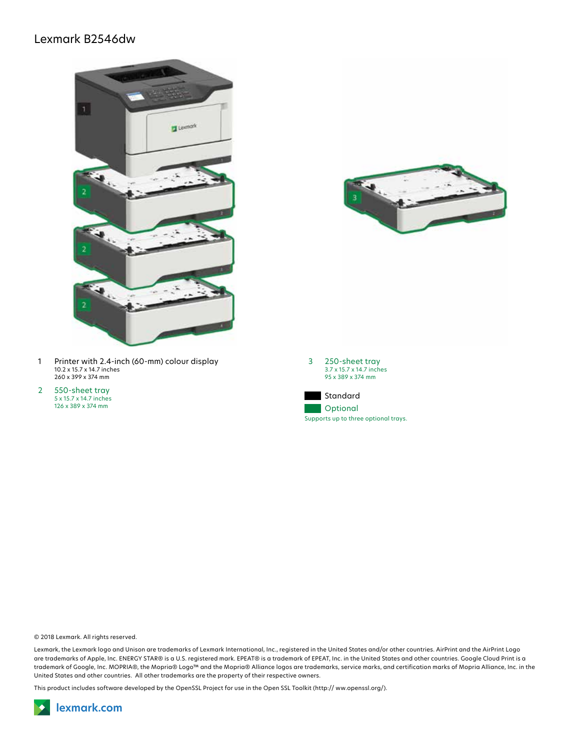# Lexmark B2546dw





- 1 Printer with 2.4-inch (60-mm) colour display 10.2 x 15.7 x 14.7 inches 260 x 399 x 374 mm
- 2 550-sheet tray 5 x 15.7 x 14.7 inches 126 x 389 x 374 mm





© 2018 Lexmark. All rights reserved.

Lexmark, the Lexmark logo and Unison are trademarks of Lexmark International, Inc., registered in the United States and/or other countries. AirPrint and the AirPrint Logo are trademarks of Apple, Inc. ENERGY STAR® is a U.S. registered mark. EPEAT® is a trademark of EPEAT, Inc. in the United States and other countries. Google Cloud Print is a trademark of Google, Inc. MOPRIA®, the Mopria® Logo™ and the Mopria® Alliance logos are trademarks, service marks, and certification marks of Mopria Alliance, Inc. in the United States and other countries. All other trademarks are the property of their respective owners.

This product includes software developed by the OpenSSL Project for use in the Open SSL Toolkit (http:// ww.openssl.org/).